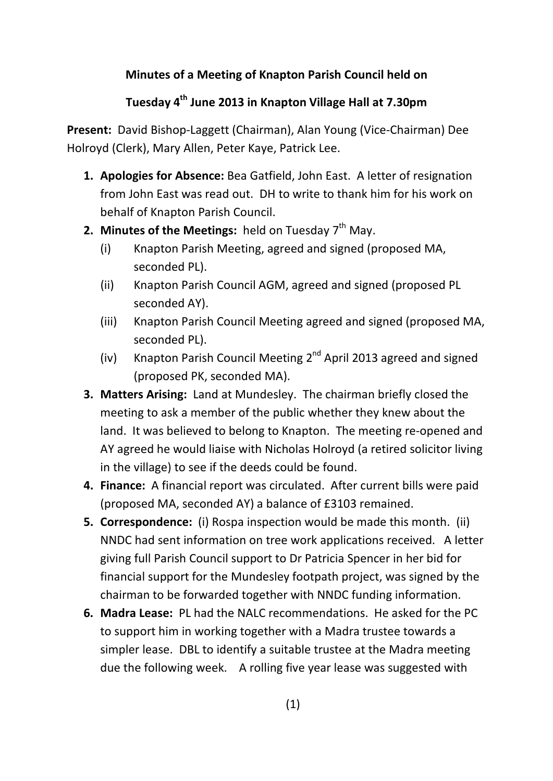## **Minutes of a Meeting of Knapton Parish Council held on**

## **Tuesday 4th June 2013 in Knapton Village Hall at 7.30pm**

**Present:** David Bishop-Laggett (Chairman), Alan Young (Vice-Chairman) Dee Holroyd (Clerk), Mary Allen, Peter Kaye, Patrick Lee.

- **1. Apologies for Absence:** Bea Gatfield, John East. A letter of resignation from John East was read out. DH to write to thank him for his work on behalf of Knapton Parish Council.
- **2. Minutes of the Meetings:** held on Tuesday 7<sup>th</sup> May.
	- (i) Knapton Parish Meeting, agreed and signed (proposed MA, seconded PL).
	- (ii) Knapton Parish Council AGM, agreed and signed (proposed PL seconded AY).
	- (iii) Knapton Parish Council Meeting agreed and signed (proposed MA, seconded PL).
	- (iv) Knapton Parish Council Meeting 2<sup>nd</sup> April 2013 agreed and signed (proposed PK, seconded MA).
- **3. Matters Arising:** Land at Mundesley. The chairman briefly closed the meeting to ask a member of the public whether they knew about the land. It was believed to belong to Knapton. The meeting re-opened and AY agreed he would liaise with Nicholas Holroyd (a retired solicitor living in the village) to see if the deeds could be found.
- **4. Finance:** A financial report was circulated. After current bills were paid (proposed MA, seconded AY) a balance of £3103 remained.
- **5. Correspondence:** (i) Rospa inspection would be made this month. (ii) NNDC had sent information on tree work applications received. A letter giving full Parish Council support to Dr Patricia Spencer in her bid for financial support for the Mundesley footpath project, was signed by the chairman to be forwarded together with NNDC funding information.
- **6. Madra Lease:** PL had the NALC recommendations. He asked for the PC to support him in working together with a Madra trustee towards a simpler lease. DBL to identify a suitable trustee at the Madra meeting due the following week. A rolling five year lease was suggested with